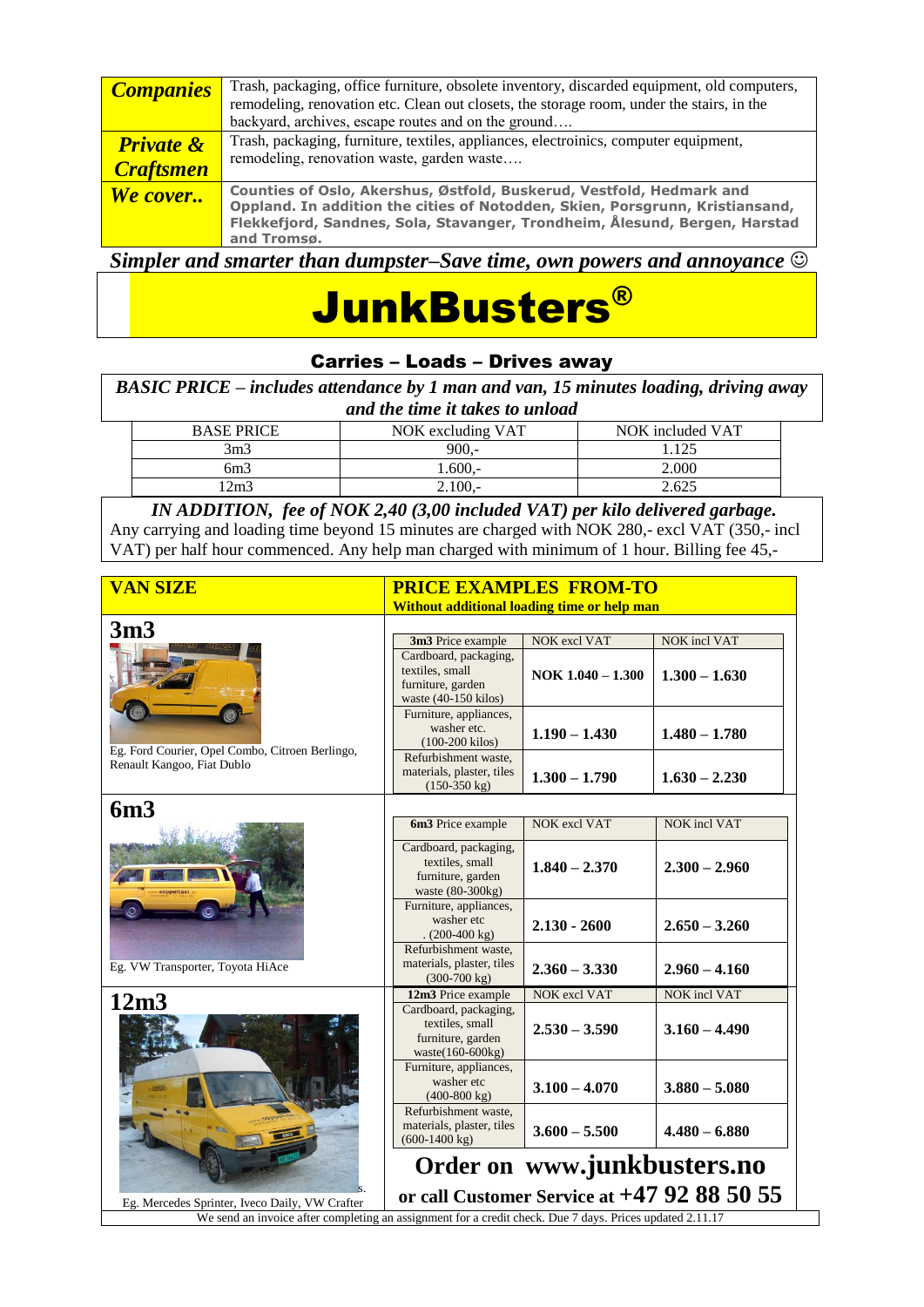| <b>Companies</b>     | Trash, packaging, office furniture, obsolete inventory, discarded equipment, old computers, |
|----------------------|---------------------------------------------------------------------------------------------|
|                      | remodeling, renovation etc. Clean out closets, the storage room, under the stairs, in the   |
|                      | backyard, archives, escape routes and on the ground                                         |
|                      |                                                                                             |
| <b>Private &amp;</b> | Trash, packaging, furniture, textiles, appliances, electroinics, computer equipment,        |
|                      | remodeling, renovation waste, garden waste                                                  |
| <b>Craftsmen</b>     |                                                                                             |
| We cover             | Counties of Oslo, Akershus, Østfold, Buskerud, Vestfold, Hedmark and                        |
|                      | Oppland. In addition the cities of Notodden, Skien, Porsgrunn, Kristiansand,                |
|                      |                                                                                             |
|                      | Flekkefjord, Sandnes, Sola, Stavanger, Trondheim, Ålesund, Bergen, Harstad                  |
|                      | and Tromsø.                                                                                 |
|                      |                                                                                             |

*Simpler and smarter than dumpster–Save time, own powers and annoyance*

# JunkBusters®

### Carries – Loads – Drives away

*BASIC PRICE – includes attendance by 1 man and van, 15 minutes loading, driving away and the time it takes to unload*

| <b>BASE PRICE</b> | NOK excluding VAT | NOK included VAT |
|-------------------|-------------------|------------------|
| 3m3               | $900 -$           | 125              |
| 6m3               | $0.600 -$         | 2.000            |
| 2m3               | $\angle 100.$     | 2.625            |

*IN ADDITION, fee of NOK 2,40 (3,00 included VAT) per kilo delivered garbage.* Any carrying and loading time beyond 15 minutes are charged with NOK 280,- excl VAT (350,- incl VAT) per half hour commenced. Any help man charged with minimum of 1 hour. Billing fee 45,-

| <b>VAN SIZE</b>                                                                                                                                            | <b>PRICE EXAMPLES FROM-TO</b>                                                         |                             |                                               |  |  |
|------------------------------------------------------------------------------------------------------------------------------------------------------------|---------------------------------------------------------------------------------------|-----------------------------|-----------------------------------------------|--|--|
|                                                                                                                                                            | Without additional loading time or help man                                           |                             |                                               |  |  |
| 3m3                                                                                                                                                        |                                                                                       |                             |                                               |  |  |
|                                                                                                                                                            | 3m3 Price example                                                                     | <b>NOK</b> excl VAT         | NOK incl VAT                                  |  |  |
|                                                                                                                                                            | Cardboard, packaging,<br>textiles, small<br>furniture, garden<br>waste (40-150 kilos) | NOK $1.040 - 1.300$         | $1.300 - 1.630$                               |  |  |
| Eg. Ford Courier, Opel Combo, Citroen Berlingo,                                                                                                            | Furniture, appliances,<br>washer etc.<br>$(100-200$ kilos)                            | $1.190 - 1.430$             | $1.480 - 1.780$                               |  |  |
| Renault Kangoo, Fiat Dublo                                                                                                                                 | Refurbishment waste,<br>materials, plaster, tiles<br>$(150-350 \text{ kg})$           | $1.300 - 1.790$             | $1.630 - 2.230$                               |  |  |
| 6m3                                                                                                                                                        |                                                                                       |                             |                                               |  |  |
|                                                                                                                                                            | 6m3 Price example                                                                     | NOK excl VAT                | NOK incl VAT                                  |  |  |
| oppeltax                                                                                                                                                   | Cardboard, packaging,<br>textiles, small<br>furniture, garden<br>waste (80-300kg)     | $1.840 - 2.370$             | $2.300 - 2.960$                               |  |  |
|                                                                                                                                                            | Furniture, appliances,<br>washer etc<br>$(200-400 \text{ kg})$                        | $2.130 - 2600$              | $2.650 - 3.260$                               |  |  |
| Eg. VW Transporter, Toyota HiAce                                                                                                                           | Refurbishment waste,<br>materials, plaster, tiles<br>$(300-700 \text{ kg})$           | $2.360 - 3.330$             | $2.960 - 4.160$                               |  |  |
| 12m3                                                                                                                                                       | 12m3 Price example                                                                    | <b>NOK</b> excl VAT         | <b>NOK</b> incl VAT                           |  |  |
|                                                                                                                                                            | Cardboard, packaging,<br>textiles, small<br>furniture, garden<br>waste(160-600kg)     | $2.530 - 3.590$             | $3.160 - 4.490$                               |  |  |
|                                                                                                                                                            | Furniture, appliances,<br>washer etc<br>$(400-800 \text{ kg})$                        | $3.100 - 4.070$             | $3.880 - 5.080$                               |  |  |
|                                                                                                                                                            | Refurbishment waste.<br>materials, plaster, tiles<br>$(600-1400 \text{ kg})$          | $3.600 - 5.500$             | $4.480 - 6.880$                               |  |  |
|                                                                                                                                                            |                                                                                       | Order on www.junkbusters.no | or call Customer Service at $+47$ 92 88 50 55 |  |  |
| Eg. Mercedes Sprinter, Iveco Daily, VW Crafter<br>We send an invoice after completing an assignment for a credit check. Due 7 days. Prices updated 2.11.17 |                                                                                       |                             |                                               |  |  |
|                                                                                                                                                            |                                                                                       |                             |                                               |  |  |